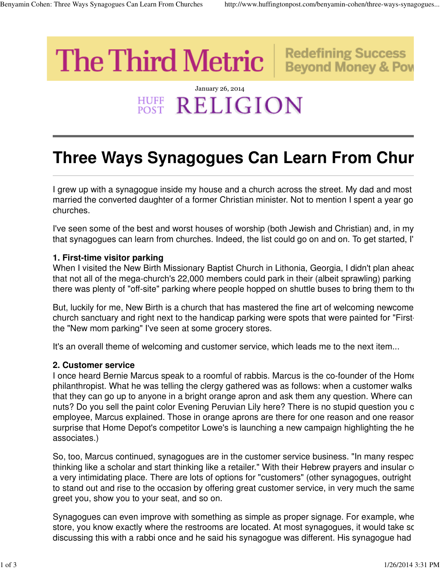**Redefining Success** 

**Beyond Money & Pov** 

# **The Third Metric**

## January 26, 2014 **HUFF RELIGION**

# **Three Ways Synagogues Can Learn From Chur**

I grew up with a synagogue inside my house and a church across the street. My dad and most married the converted daughter of a former Christian minister. Not to mention I spent a year got churches.

I've seen some of the best and worst houses of worship (both Jewish and Christian) and, in my that synagogues can learn from churches. Indeed, the list could go on and on. To get started, I'

#### **1. First-time visitor parking**

When I visited the New Birth Missionary Baptist Church in Lithonia, Georgia, I didn't plan ahead. that not all of the mega-church's 22,000 members could park in their (albeit sprawling) parking there was plenty of "off-site" parking where people hopped on shuttle buses to bring them to the

But, luckily for me, New Birth is a church that has mastered the fine art of welcoming newcome church sanctuary and right next to the handicap parking were spots that were painted for "Firstthe "New mom parking" I've seen at some grocery stores.

It's an overall theme of welcoming and customer service, which leads me to the next item...

#### **2. Customer service**

I once heard Bernie Marcus speak to a roomful of rabbis. Marcus is the co-founder of the Home philanthropist. What he was telling the clergy gathered was as follows: when a customer walks that they can go up to anyone in a bright orange apron and ask them any question. Where can nuts? Do you sell the paint color Evening Peruvian Lily here? There is no stupid question you c employee, Marcus explained. Those in orange aprons are there for one reason and one reasor surprise that Home Depot's competitor Lowe's is launching a new campaign highlighting the helpassociates.)

So, too, Marcus continued, synagogues are in the customer service business. "In many respectthinking like a scholar and start thinking like a retailer." With their Hebrew prayers and insular co a very intimidating place. There are lots of options for "customers" (other synagogues, outright to stand out and rise to the occasion by offering great customer service, in very much the same greet you, show you to your seat, and so on.

Synagogues can even improve with something as simple as proper signage. For example, whe store, you know exactly where the restrooms are located. At most synagogues, it would take sc discussing this with a rabbi once and he said his synagogue was different. His synagogue had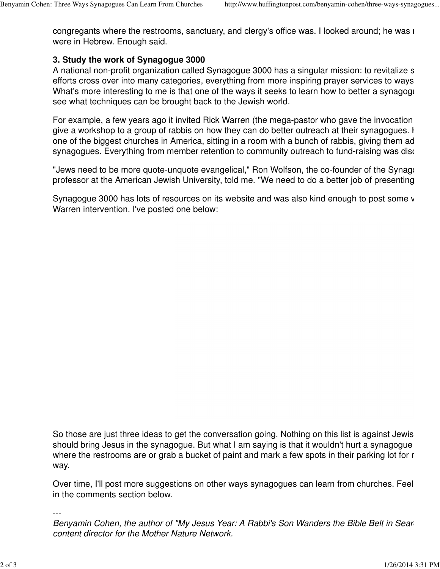congregants where the restrooms, sanctuary, and clergy's office was. I looked around; he was i were in Hebrew. Enough said.

### **3. Study the work of Synagogue 3000**

A national non-profit organization called Synagogue 3000 has a singular mission: to revitalize s efforts cross over into many categories, everything from more inspiring prayer services to ways What's more interesting to me is that one of the ways it seeks to learn how to better a synagogue see what techniques can be brought back to the Jewish world.

For example, a few years ago it invited Rick Warren (the mega-pastor who gave the invocation give a workshop to a group of rabbis on how they can do better outreach at their synagogues. H one of the biggest churches in America, sitting in a room with a bunch of rabbis, giving them ad synagogues. Everything from member retention to community outreach to fund-raising was disc

"Jews need to be more quote-unquote evangelical," Ron Wolfson, the co-founder of the Synage professor at the American Jewish University, told me. "We need to do a better job of presenting

Synagogue 3000 has lots of resources on its website and was also kind enough to post some video clips on YouTu Warren intervention. I've posted one below:

So those are just three ideas to get the conversation going. Nothing on this list is against Jewis should bring Jesus in the synagogue. But what I am saying is that it wouldn't hurt a synagogue where the restrooms are or grab a bucket of paint and mark a few spots in their parking lot for rew way.

Over time, I'll post more suggestions on other ways synagogues can learn from churches. Feel in the comments section below.

---

Benyamin Cohen, the author of "My Jesus Year: A Rabbi's Son Wanders the Bible Belt in Sear content director for the Mother Nature Network.